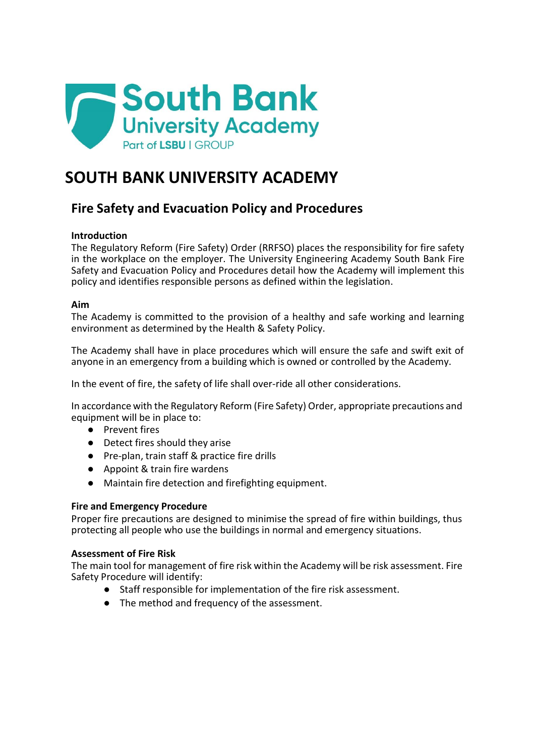

# **SOUTH BANK UNIVERSITY ACADEMY**

## **Fire Safety and Evacuation Policy and Procedures**

## **Introduction**

The Regulatory Reform (Fire Safety) Order (RRFSO) places the responsibility for fire safety in the workplace on the employer. The University Engineering Academy South Bank Fire Safety and Evacuation Policy and Procedures detail how the Academy will implement this policy and identifies responsible persons as defined within the legislation.

#### **Aim**

The Academy is committed to the provision of a healthy and safe working and learning environment as determined by the Health & Safety Policy.

The Academy shall have in place procedures which will ensure the safe and swift exit of anyone in an emergency from a building which is owned or controlled by the Academy.

In the event of fire, the safety of life shall over-ride all other considerations.

In accordance with the Regulatory Reform (Fire Safety) Order, appropriate precautions and equipment will be in place to:

- Prevent fires
- Detect fires should they arise
- Pre-plan, train staff & practice fire drills
- Appoint & train fire wardens
- Maintain fire detection and firefighting equipment.

#### **Fire and Emergency Procedure**

Proper fire precautions are designed to minimise the spread of fire within buildings, thus protecting all people who use the buildings in normal and emergency situations.

#### **Assessment of Fire Risk**

The main tool for management of fire risk within the Academy will be risk assessment. Fire Safety Procedure will identify:

- Staff responsible for implementation of the fire risk assessment.
- The method and frequency of the assessment.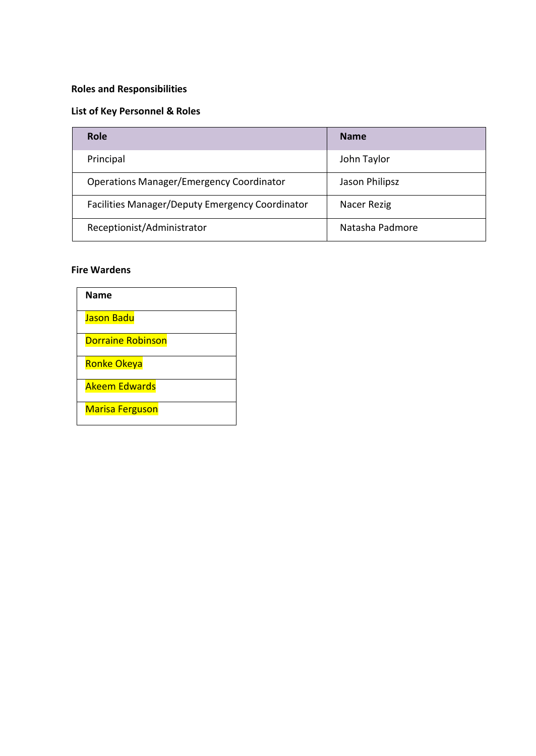## **Roles and Responsibilities**

## **List of Key Personnel & Roles**

| <b>Role</b>                                     | <b>Name</b>     |
|-------------------------------------------------|-----------------|
| Principal                                       | John Taylor     |
| <b>Operations Manager/Emergency Coordinator</b> | Jason Philipsz  |
| Facilities Manager/Deputy Emergency Coordinator | Nacer Rezig     |
| Receptionist/Administrator                      | Natasha Padmore |

## **Fire Wardens**

| <b>Name</b>              |
|--------------------------|
| <b>Jason Badu</b>        |
| <b>Dorraine Robinson</b> |
| Ronke Okeya              |
| <b>Akeem Edwards</b>     |
| <b>Marisa Ferguson</b>   |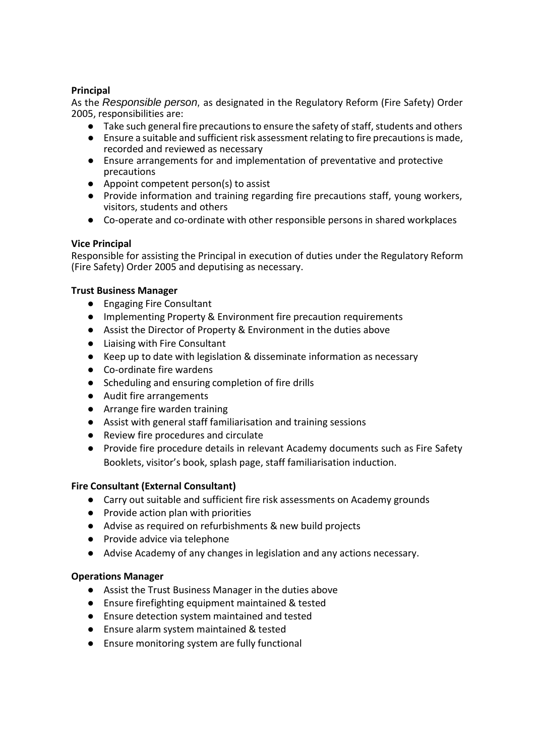#### **Principal**

As the *Responsible person,* as designated in the Regulatory Reform (Fire Safety) Order 2005, responsibilities are:

- $\bullet$  Take such general fire precautions to ensure the safety of staff, students and others
- Ensure a suitable and sufficient risk assessment relating to fire precautionsis made, recorded and reviewed as necessary
- Ensure arrangements for and implementation of preventative and protective precautions
- Appoint competent person(s) to assist
- Provide information and training regarding fire precautions staff, young workers, visitors, students and others
- Co-operate and co-ordinate with other responsible persons in shared workplaces

## **Vice Principal**

Responsible for assisting the Principal in execution of duties under the Regulatory Reform (Fire Safety) Order 2005 and deputising as necessary.

## **Trust Business Manager**

- Engaging Fire Consultant
- Implementing Property & Environment fire precaution requirements
- Assist the Director of Property & Environment in the duties above
- Liaising with Fire Consultant
- Keep up to date with legislation & disseminate information as necessary
- Co-ordinate fire wardens
- Scheduling and ensuring completion of fire drills
- Audit fire arrangements
- Arrange fire warden training
- Assist with general staff familiarisation and training sessions
- Review fire procedures and circulate
- Provide fire procedure details in relevant Academy documents such as Fire Safety Booklets, visitor's book, splash page, staff familiarisation induction.

## **Fire Consultant (External Consultant)**

- Carry out suitable and sufficient fire risk assessments on Academy grounds
- Provide action plan with priorities
- Advise as required on refurbishments & new build projects
- Provide advice via telephone
- Advise Academy of any changes in legislation and any actions necessary.

## **Operations Manager**

- Assist the Trust Business Manager in the duties above
- Ensure firefighting equipment maintained & tested
- Ensure detection system maintained and tested
- Ensure alarm system maintained & tested
- Ensure monitoring system are fully functional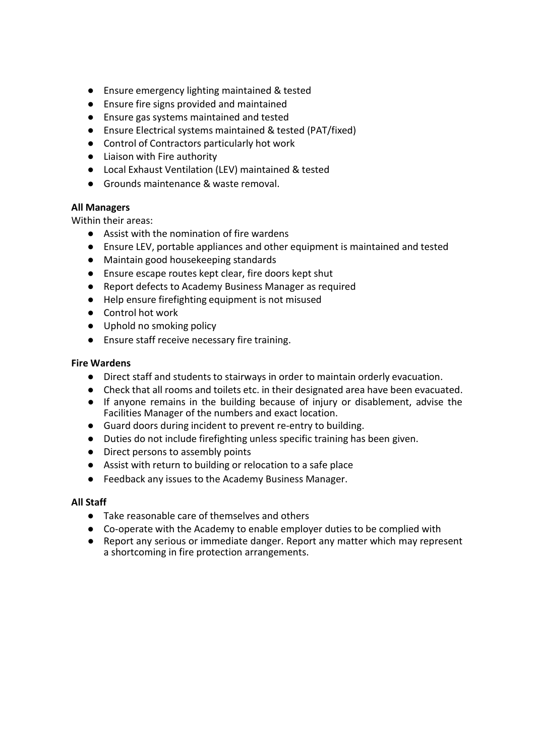- Ensure emergency lighting maintained & tested
- Ensure fire signs provided and maintained
- Ensure gas systems maintained and tested
- Ensure Electrical systems maintained & tested (PAT/fixed)
- Control of Contractors particularly hot work
- Liaison with Fire authority
- Local Exhaust Ventilation (LEV) maintained & tested
- Grounds maintenance & waste removal.

#### **All Managers**

Within their areas:

- Assist with the nomination of fire wardens
- Ensure LEV, portable appliances and other equipment is maintained and tested
- Maintain good housekeeping standards
- Ensure escape routes kept clear, fire doors kept shut
- Report defects to Academy Business Manager as required
- Help ensure firefighting equipment is not misused
- Control hot work
- Uphold no smoking policy
- Ensure staff receive necessary fire training.

#### **Fire Wardens**

- Direct staff and students to stairways in order to maintain orderly evacuation.
- Check that all rooms and toilets etc. in their designated area have been evacuated.
- If anyone remains in the building because of injury or disablement, advise the Facilities Manager of the numbers and exact location.
- Guard doors during incident to prevent re-entry to building.
- Duties do not include firefighting unless specific training has been given.
- Direct persons to assembly points
- Assist with return to building or relocation to a safe place
- Feedback any issues to the Academy Business Manager.

#### **All Staff**

- Take reasonable care of themselves and others
- Co-operate with the Academy to enable employer duties to be complied with
- Report any serious or immediate danger. Report any matter which may represent a shortcoming in fire protection arrangements.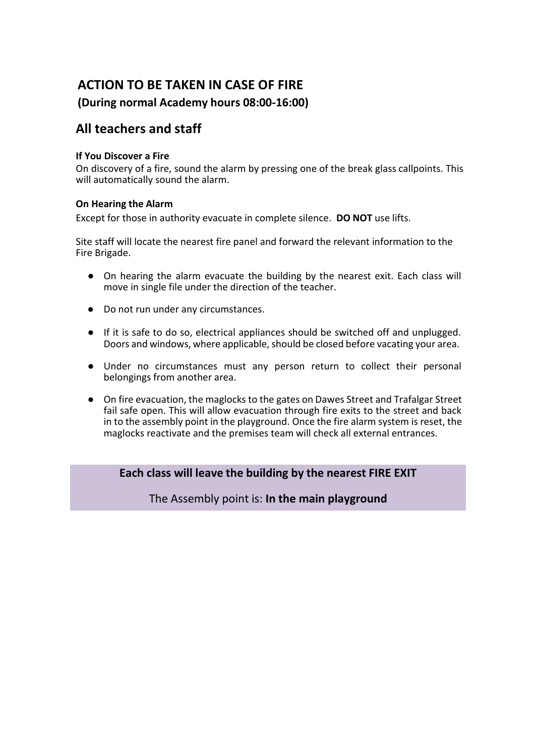## **ACTION TO BE TAKEN IN CASE OF FIRE**

## **(During normal Academy hours 08:00-16:00)**

## **All teachers and staff**

### **If You Discover a Fire**

On discovery of a fire, sound the alarm by pressing one of the break glass callpoints. This will automatically sound the alarm.

## **On Hearing the Alarm**

Except for those in authority evacuate in complete silence. **DO NOT** use lifts.

Site staff will locate the nearest fire panel and forward the relevant information to the Fire Brigade.

- On hearing the alarm evacuate the building by the nearest exit. Each class will move in single file under the direction of the teacher.
- Do not run under any circumstances.
- If it is safe to do so, electrical appliances should be switched off and unplugged. Doors and windows, where applicable, should be closed before vacating your area.
- Under no circumstances must any person return to collect their personal belongings from another area.
- On fire evacuation, the maglocks to the gates on Dawes Street and Trafalgar Street fail safe open. This will allow evacuation through fire exits to the street and back in to the assembly point in the playground. Once the fire alarm system is reset, the maglocks reactivate and the premises team will check all external entrances.

**Each class will leave the building by the nearest FIRE EXIT**

The Assembly point is: **In the main playground**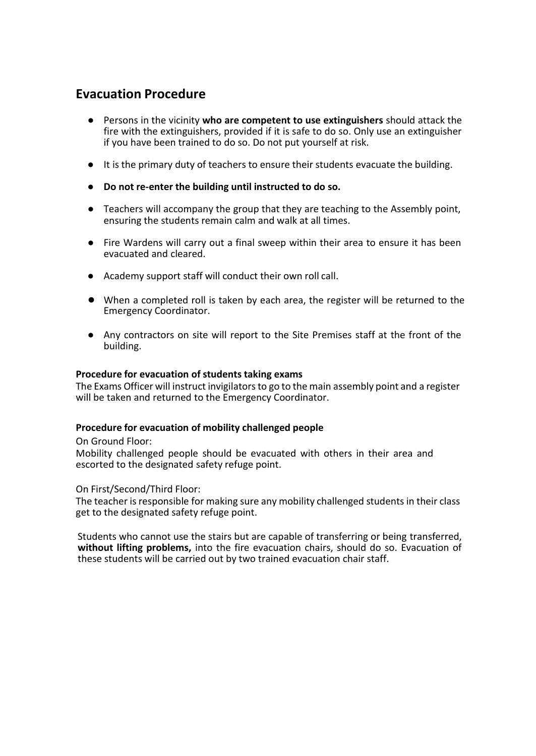## **Evacuation Procedure**

- Persons in the vicinity **who are competent to use extinguishers** should attack the fire with the extinguishers, provided if it is safe to do so. Only use an extinguisher if you have been trained to do so. Do not put yourself at risk.
- It is the primary duty of teachers to ensure their students evacuate the building.
- **Do not re-enter the building until instructed to do so.**
- Teachers will accompany the group that they are teaching to the Assembly point, ensuring the students remain calm and walk at all times.
- Fire Wardens will carry out a final sweep within their area to ensure it has been evacuated and cleared.
- Academy support staff will conduct their own roll call.
- When a completed roll is taken by each area, the register will be returned to the Emergency Coordinator.
- Any contractors on site will report to the Site Premises staff at the front of the building.

#### **Procedure for evacuation of students taking exams**

The Exams Officer will instruct invigilators to go to the main assembly point and a register will be taken and returned to the Emergency Coordinator.

#### **Procedure for evacuation of mobility challenged people**

On Ground Floor:

Mobility challenged people should be evacuated with others in their area and escorted to the designated safety refuge point.

On First/Second/Third Floor:

The teacher is responsible for making sure any mobility challenged students in their class get to the designated safety refuge point.

Students who cannot use the stairs but are capable of transferring or being transferred, **without lifting problems,** into the fire evacuation chairs, should do so. Evacuation of these students will be carried out by two trained evacuation chair staff.